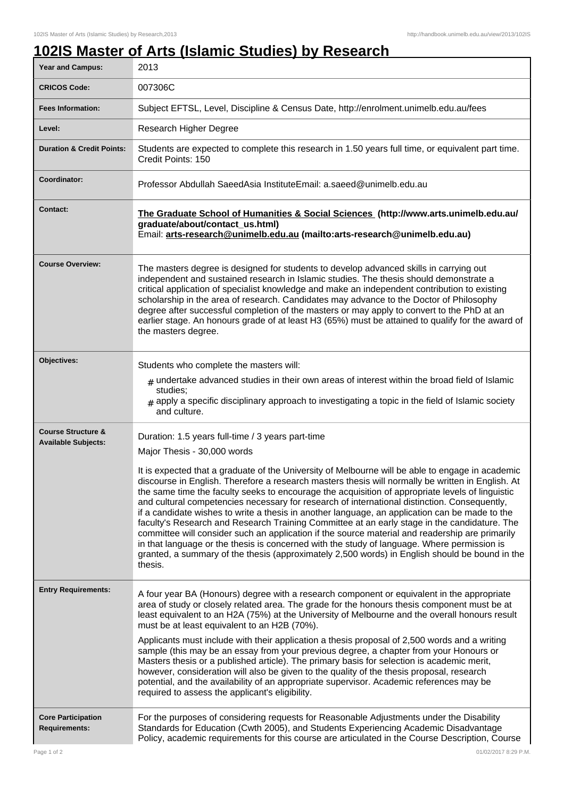## **102IS Master of Arts (Islamic Studies) by Research**

| <b>Year and Campus:</b>                                     | 2013                                                                                                                                                                                                                                                                                                                                                                                                                                                                                                                                                                                                                                                                                                                                                                                                                                                                                                                                                                                                           |
|-------------------------------------------------------------|----------------------------------------------------------------------------------------------------------------------------------------------------------------------------------------------------------------------------------------------------------------------------------------------------------------------------------------------------------------------------------------------------------------------------------------------------------------------------------------------------------------------------------------------------------------------------------------------------------------------------------------------------------------------------------------------------------------------------------------------------------------------------------------------------------------------------------------------------------------------------------------------------------------------------------------------------------------------------------------------------------------|
| <b>CRICOS Code:</b>                                         | 007306C                                                                                                                                                                                                                                                                                                                                                                                                                                                                                                                                                                                                                                                                                                                                                                                                                                                                                                                                                                                                        |
| <b>Fees Information:</b>                                    | Subject EFTSL, Level, Discipline & Census Date, http://enrolment.unimelb.edu.au/fees                                                                                                                                                                                                                                                                                                                                                                                                                                                                                                                                                                                                                                                                                                                                                                                                                                                                                                                           |
| Level:                                                      | Research Higher Degree                                                                                                                                                                                                                                                                                                                                                                                                                                                                                                                                                                                                                                                                                                                                                                                                                                                                                                                                                                                         |
| <b>Duration &amp; Credit Points:</b>                        | Students are expected to complete this research in 1.50 years full time, or equivalent part time.<br>Credit Points: 150                                                                                                                                                                                                                                                                                                                                                                                                                                                                                                                                                                                                                                                                                                                                                                                                                                                                                        |
| Coordinator:                                                | Professor Abdullah SaeedAsia InstituteEmail: a.saeed@unimelb.edu.au                                                                                                                                                                                                                                                                                                                                                                                                                                                                                                                                                                                                                                                                                                                                                                                                                                                                                                                                            |
| <b>Contact:</b>                                             | The Graduate School of Humanities & Social Sciences (http://www.arts.unimelb.edu.au/<br>graduate/about/contact_us.html)<br>Email: arts-research@unimelb.edu.au (mailto:arts-research@unimelb.edu.au)                                                                                                                                                                                                                                                                                                                                                                                                                                                                                                                                                                                                                                                                                                                                                                                                           |
| <b>Course Overview:</b>                                     | The masters degree is designed for students to develop advanced skills in carrying out<br>independent and sustained research in Islamic studies. The thesis should demonstrate a<br>critical application of specialist knowledge and make an independent contribution to existing<br>scholarship in the area of research. Candidates may advance to the Doctor of Philosophy<br>degree after successful completion of the masters or may apply to convert to the PhD at an<br>earlier stage. An honours grade of at least H3 (65%) must be attained to qualify for the award of<br>the masters degree.                                                                                                                                                                                                                                                                                                                                                                                                         |
| Objectives:                                                 | Students who complete the masters will:<br>$_{\#}$ undertake advanced studies in their own areas of interest within the broad field of Islamic<br>studies:<br>$_{\text{\#}}$ apply a specific disciplinary approach to investigating a topic in the field of Islamic society<br>and culture.                                                                                                                                                                                                                                                                                                                                                                                                                                                                                                                                                                                                                                                                                                                   |
| <b>Course Structure &amp;</b><br><b>Available Subjects:</b> | Duration: 1.5 years full-time / 3 years part-time<br>Major Thesis - 30,000 words<br>It is expected that a graduate of the University of Melbourne will be able to engage in academic<br>discourse in English. Therefore a research masters thesis will normally be written in English. At<br>the same time the faculty seeks to encourage the acquisition of appropriate levels of linguistic<br>and cultural competencies necessary for research of international distinction. Consequently,<br>if a candidate wishes to write a thesis in another language, an application can be made to the<br>faculty's Research and Research Training Committee at an early stage in the candidature. The<br>committee will consider such an application if the source material and readership are primarily<br>in that language or the thesis is concerned with the study of language. Where permission is<br>granted, a summary of the thesis (approximately 2,500 words) in English should be bound in the<br>thesis. |
| <b>Entry Requirements:</b>                                  | A four year BA (Honours) degree with a research component or equivalent in the appropriate<br>area of study or closely related area. The grade for the honours thesis component must be at<br>least equivalent to an H2A (75%) at the University of Melbourne and the overall honours result<br>must be at least equivalent to an H2B (70%).<br>Applicants must include with their application a thesis proposal of 2,500 words and a writing<br>sample (this may be an essay from your previous degree, a chapter from your Honours or<br>Masters thesis or a published article). The primary basis for selection is academic merit,<br>however, consideration will also be given to the quality of the thesis proposal, research<br>potential, and the availability of an appropriate supervisor. Academic references may be<br>required to assess the applicant's eligibility.                                                                                                                              |
| <b>Core Participation</b><br><b>Requirements:</b>           | For the purposes of considering requests for Reasonable Adjustments under the Disability<br>Standards for Education (Cwth 2005), and Students Experiencing Academic Disadvantage<br>Policy, academic requirements for this course are articulated in the Course Description, Course                                                                                                                                                                                                                                                                                                                                                                                                                                                                                                                                                                                                                                                                                                                            |